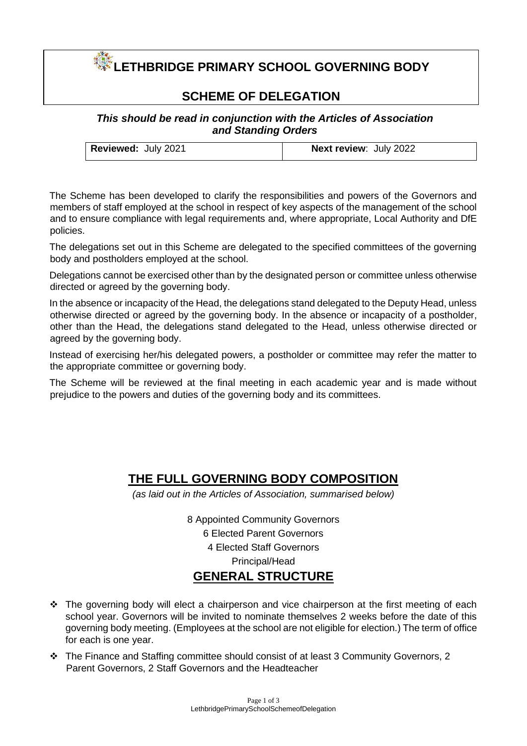# **LETHBRIDGE PRIMARY SCHOOL GOVERNING BODY**

### **SCHEME OF DELEGATION**

### *This should be read in conjunction with the Articles of Association and Standing Orders*

| <b>Reviewed: July 2021</b> | <b>Next review: July 2022</b> |
|----------------------------|-------------------------------|
|                            |                               |

The Scheme has been developed to clarify the responsibilities and powers of the Governors and members of staff employed at the school in respect of key aspects of the management of the school and to ensure compliance with legal requirements and, where appropriate, Local Authority and DfE policies.

The delegations set out in this Scheme are delegated to the specified committees of the governing body and postholders employed at the school.

Delegations cannot be exercised other than by the designated person or committee unless otherwise directed or agreed by the governing body.

In the absence or incapacity of the Head, the delegations stand delegated to the Deputy Head, unless otherwise directed or agreed by the governing body. In the absence or incapacity of a postholder, other than the Head, the delegations stand delegated to the Head, unless otherwise directed or agreed by the governing body.

Instead of exercising her/his delegated powers, a postholder or committee may refer the matter to the appropriate committee or governing body.

The Scheme will be reviewed at the final meeting in each academic year and is made without prejudice to the powers and duties of the governing body and its committees.

## **THE FULL GOVERNING BODY COMPOSITION**

*(as laid out in the Articles of Association, summarised below)* 

8 Appointed Community Governors 6 Elected Parent Governors 4 Elected Staff Governors Principal/Head **GENERAL STRUCTURE**

- ❖ The governing body will elect a chairperson and vice chairperson at the first meeting of each school year. Governors will be invited to nominate themselves 2 weeks before the date of this governing body meeting. (Employees at the school are not eligible for election.) The term of office for each is one year.
- ❖ The Finance and Staffing committee should consist of at least 3 Community Governors, 2 Parent Governors, 2 Staff Governors and the Headteacher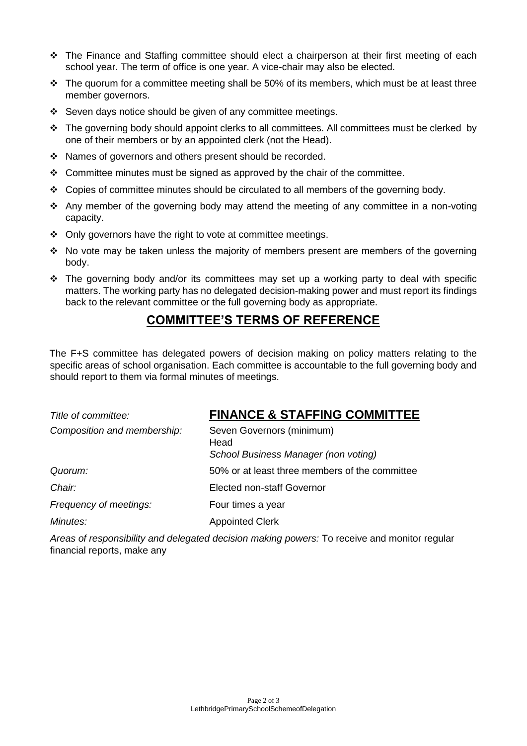- ❖ The Finance and Staffing committee should elect a chairperson at their first meeting of each school year. The term of office is one year. A vice-chair may also be elected.
- $\div$  The quorum for a committee meeting shall be 50% of its members, which must be at least three member governors.
- ❖ Seven days notice should be given of any committee meetings.
- ❖ The governing body should appoint clerks to all committees. All committees must be clerked by one of their members or by an appointed clerk (not the Head).
- ❖ Names of governors and others present should be recorded.
- $\div$  Committee minutes must be signed as approved by the chair of the committee.
- ❖ Copies of committee minutes should be circulated to all members of the governing body.
- ❖ Any member of the governing body may attend the meeting of any committee in a non-voting capacity.
- ❖ Only governors have the right to vote at committee meetings.
- ❖ No vote may be taken unless the majority of members present are members of the governing body.
- $\div$  The governing body and/or its committees may set up a working party to deal with specific matters. The working party has no delegated decision-making power and must report its findings back to the relevant committee or the full governing body as appropriate.

## **COMMITTEE'S TERMS OF REFERENCE**

The F+S committee has delegated powers of decision making on policy matters relating to the specific areas of school organisation. Each committee is accountable to the full governing body and should report to them via formal minutes of meetings.

| Title of committee:         | <b>FINANCE &amp; STAFFING COMMITTEE</b>                                   |
|-----------------------------|---------------------------------------------------------------------------|
| Composition and membership: | Seven Governors (minimum)<br>Head<br>School Business Manager (non voting) |
| Quorum:                     | 50% or at least three members of the committee                            |
| Chair:                      | Elected non-staff Governor                                                |
| Frequency of meetings:      | Four times a year                                                         |
| Minutes:                    | <b>Appointed Clerk</b>                                                    |

*Areas of responsibility and delegated decision making powers:* To receive and monitor regular financial reports, make any